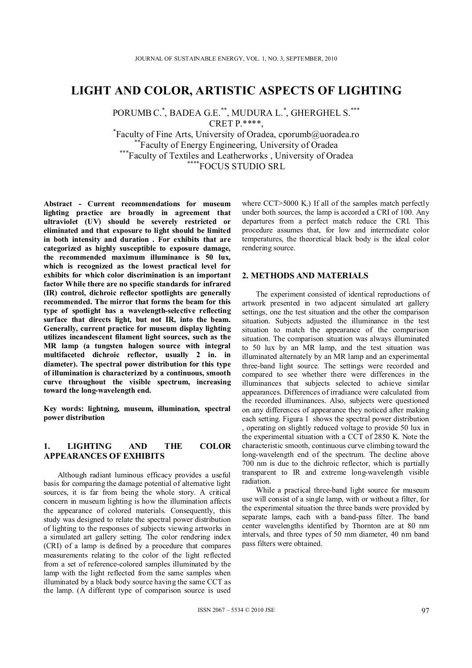# **LIGHT AND COLOR, ARTISTIC ASPECTS OF LIGHTING**

PORUMB C.\* , BADEA G.E.\*\*, MUDURA L.\* , GHERGHEL S.\*\*\* CRET P.\*\*\*\*,<br>Faculty of Fine Arts, University of Oradea, cporumb@uoradea.ro

\*\*Faculty of Energy Engineering, University of Oradea<br>\*\*\*Faculty of Textiles and Leatherworks , University of Oradea<br>\*\*\*\*FOCUS STUDIO SRL

**Abstract - Current recommendations for museum lighting practice are broadly in agreement that ultraviolet (UV) should be severely restricted or eliminated and that exposure to light should be limited in both intensity and duration . For exhibits that are categorized as highly susceptible to exposure damage, the recommended maximum illuminance is 50 lux, which is recognized as the lowest practical level for exhibits for which color discrimination is an important factor While there are no specific standards for infrared (IR) control, dichroic reflector spotlights are generally recommended. The mirror that forms the beam for this type of spotlight has a wavelength-selective reflecting surface that directs light, but not IR, into the beam. Generally, current practice for museum display lighting utilizes incandescent filament light sources, such as the MR lamp (a tungsten halogen source with integral multifaceted dichroic reflector, usually 2 in. in diameter). The spectral power distribution for this type of illumination is characterized by a continuous, smooth curve throughout the visible spectrum, increasing toward the long-wavelength end.** 

**Key words: lightning, museum, illumination, spectral power distribution** 

## **1. LIGHTING AND THE COLOR APPEARANCES OF EXHIBITS**

Although radiant luminous efficacy provides a useful basis for comparing the damage potential of alternative light sources, it is far from being the whole story. A critical concern in museum lighting is how the illumination affects the appearance of colored materials. Consequently, this study was designed to relate the spectral power distribution of lighting to the responses of subjects viewing artworks in a simulated art gallery setting. The color rendering index (CRI) of a lamp is defined by a procedure that compares measurements relating to the color of the light reflected from a set of reference-colored samples illuminated by the lamp with the light reflected from the same samples when illuminated by a black body source having the same CCT as the lamp. (A different type of comparison source is used where CCT>5000 K.) If all of the samples match perfectly under both sources, the lamp is accorded a CRI of 100. Any departures from a perfect match reduce the CRI. This procedure assumes that, for low and intermediate color temperatures, the theoretical black body is the ideal color rendering source.

#### **2. METHODS AND MATERIALS**

The experiment consisted of identical reproductions of artwork presented in two adjacent simulated art gallery settings, one the test situation and the other the comparison situation. Subjects adjusted the illuminance in the test situation to match the appearance of the comparison situation. The comparison situation was always illuminated to 50 lux by an MR lamp, and the test situation was illuminated alternately by an MR lamp and an experimental three-band light source. The settings were recorded and compared to see whether there were differences in the illuminances that subjects selected to achieve similar appearances. Differences of irradiance were calculated from the recorded illuminances. Also, subjects were questioned on any differences of appearance they noticed after making each setting. Figura 1 shows the spectral power distribution , operating on slightly reduced voltage to provide 50 lux in the experimental situation with a CCT of 2850 K. Note the characteristic smooth, continuous curve climbing toward the long-wavelength end of the spectrum. The decline above 700 nm is due to the dichroic reflector, which is partially transparent to IR and extreme long-wavelength visible radiation.

While a practical three-band light source for museum use will consist of a single lamp, with or without a filter, for the experimental situation the three bands were provided by separate lamps, each with a band-pass filter. The band center wavelengths identified by Thornton are at 80 nm intervals, and three types of 50 mm diameter, 40 nm band pass filters were obtained.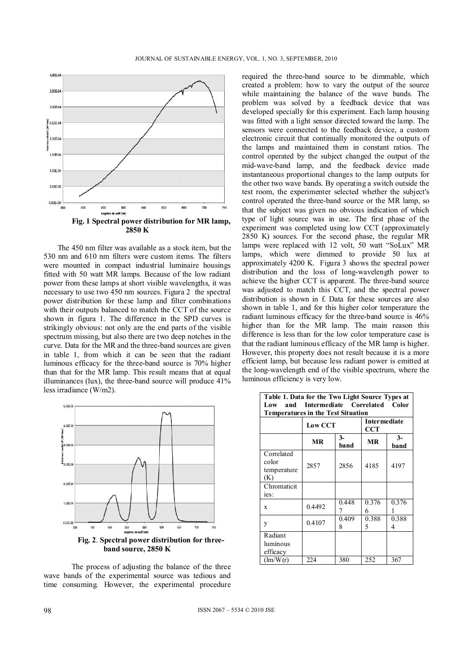

The 450 nm filter was available as a stock item, but the 530 nm and 610 nm filters were custom items. The filters were mounted in compact industrial luminaire housings fitted with 50 watt MR lamps. Because of the low radiant power from these lamps at short visible wavelengths, it was necessary to use two 450 nm sources. Figura 2 the spectral power distribution for these lamp and filter combinations with their outputs balanced to match the CCT of the source shown in figura 1. The difference in the SPD curves is strikingly obvious: not only are the end parts of the visible spectrum missing, but also there are two deep notches in the curve. Data for the MR and the three-band sources are given in table 1, from which it can be seen that the radiant luminous efficacy for the three-band source is 70% higher than that for the MR lamp. This result means that at equal illuminances (lux), the three-band source will produce 41% less irradiance (W/m2).



The process of adjusting the balance of the three wave bands of the experimental source was tedious and time consuming. However, the experimental procedure

required the three-band source to be dimmable, which created a problem: how to vary the output of the source while maintaining the balance of the wave bands. The problem was solved by a feedback device that was developed specially for this experiment. Each lamp housing was fitted with a light sensor directed toward the lamp. The sensors were connected to the feedback device, a custom electronic circuit that continually monitored the outputs of the lamps and maintained them in constant ratios. The control operated by the subject changed the output of the mid-wave-band lamp, and the feedback device made instantaneous proportional changes to the lamp outputs for the other two wave bands. By operating a switch outside the test room, the experimenter selected whether the subject's control operated the three-band source or the MR lamp, so that the subject was given no obvious indication of which type of light source was in use. The first phase of the experiment was completed using low CCT (approximately 2850 K) sources. For the second phase, the regular MR lamps were replaced with 12 volt, 50 watt "SoLux" MR lamps, which were dimmed to provide 50 lux at approximately 4200 K. Figura 3 shows the spectral power distribution and the loss of long-wavelength power to achieve the higher CCT is apparent. The three-band source was adjusted to match this CCT, and the spectral power distribution is shown in f. Data for these sources are also shown in table 1, and for this higher color temperature the radiant luminous efficacy for the three-band source is 46% higher than for the MR lamp. The main reason this difference is less than for the low color temperature case is that the radiant luminous efficacy of the MR lamp is higher. However, this property does not result because it is a more efficient lamp, but because less radiant power is emitted at the long-wavelength end of the visible spectrum, where the luminous efficiency is very low.

| Table 1. Data for the Two Light Source Types at<br>and Intermediate Correlated Color<br>Low<br><b>Temperatures in the Test Situation</b> |              |                            |              |
|------------------------------------------------------------------------------------------------------------------------------------------|--------------|----------------------------|--------------|
| <b>Low CCT</b>                                                                                                                           |              | <b>Intermediate</b><br>CCT |              |
| <b>MR</b>                                                                                                                                | $3-$<br>band | MR                         | $3-$<br>band |
| 2857                                                                                                                                     | 2856         | 4185                       | 4197         |
|                                                                                                                                          |              |                            |              |
| 0.4492                                                                                                                                   | 0.448<br>7   | 0.376<br>6                 | 0.376<br>1   |
| 0.4107                                                                                                                                   | 0.409<br>8   | 0.388<br>5                 | 0.388<br>4   |
|                                                                                                                                          |              |                            | 367          |
|                                                                                                                                          | 224          | 380                        | 252          |